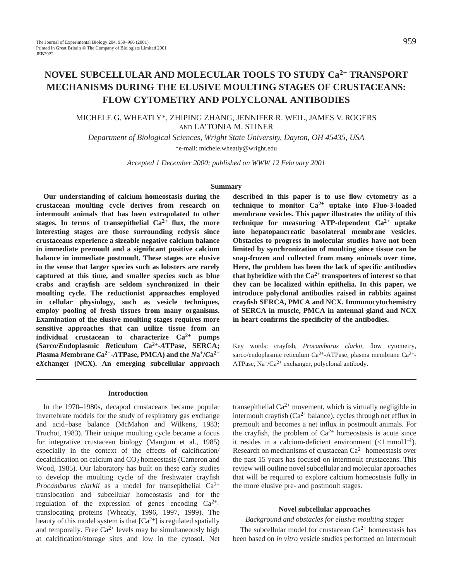# **NOVEL SUBCELLULAR AND MOLECULAR TOOLS TO STUDY Ca2+ TRANSPORT MECHANISMS DURING THE ELUSIVE MOULTING STAGES OF CRUSTACEANS: FLOW CYTOMETRY AND POLYCLONAL ANTIBODIES**

# MICHELE G. WHEATLY\*, ZHIPING ZHANG, JENNIFER R. WEIL, JAMES V. ROGERS AND LA'TONIA M. STINER

*Department of Biological Sciences, Wright State University, Dayton, OH 45435, USA* \*e-mail: michele.wheatly@wright.edu

*Accepted 1 December 2000; published on WWW 12 February 2001*

#### **Summary**

**Our understanding of calcium homeostasis during the crustacean moulting cycle derives from research on intermoult animals that has been extrapolated to other** stages. In terms of transepithelial  $Ca^{2+}$  flux, the more **interesting stages are those surrounding ecdysis since crustaceans experience a sizeable negative calcium balance in immediate premoult and a significant positive calcium balance in immediate postmoult. These stages are elusive in the sense that larger species such as lobsters are rarely captured at this time, and smaller species such as blue crabs and crayfish are seldom synchronized in their moulting cycle. The reductionist approaches employed in cellular physiology, such as vesicle techniques, employ pooling of fresh tissues from many organisms. Examination of the elusive moulting stages requires more sensitive approaches that can utilize tissue from an individual crustacean to characterize Ca2+ pumps (***S***arco/***E***ndoplasmic** *R***eticulum** *C***a2+-***A***TPase, SERCA;** *P***lasma** *M***embrane** *C***a2+-***A***TPase, PMCA) and the** *N***a+/***C***a2+ e***X***changer (NCX). An emerging subcellular approach**

### **Introduction**

In the 1970–1980s, decapod crustaceans became popular invertebrate models for the study of respiratory gas exchange and acid–base balance (McMahon and Wilkens, 1983; Truchot, 1983). Their unique moulting cycle became a focus for integrative crustacean biology (Mangum et al., 1985) especially in the context of the effects of calcification/ decalcification on calcium and CO<sub>2</sub> homeostasis (Cameron and Wood, 1985). Our laboratory has built on these early studies to develop the moulting cycle of the freshwater crayfish *Procambarus clarkii* as a model for transepithelial Ca2+ translocation and subcellular homeostasis and for the regulation of the expression of genes encoding  $Ca^{2+}$ translocating proteins (Wheatly, 1996, 1997, 1999). The beauty of this model system is that  $[Ca^{2+}]$  is regulated spatially and temporally. Free  $Ca^{2+}$  levels may be simultaneously high at calcification/storage sites and low in the cytosol. Net

**described in this paper is to use flow cytometry as a technique to monitor Ca2+ uptake into Fluo-3-loaded membrane vesicles. This paper illustrates the utility of this technique for measuring ATP-dependent Ca2+ uptake into hepatopancreatic basolateral membrane vesicles. Obstacles to progress in molecular studies have not been limited by synchronization of moulting since tissue can be snap-frozen and collected from many animals over time. Here, the problem has been the lack of specific antibodies** that hybridize with the  $Ca^{2+}$  transporters of interest so that **they can be localized within epithelia. In this paper, we introduce polyclonal antibodies raised in rabbits against crayfish SERCA, PMCA and NCX. Immunocytochemistry of SERCA in muscle, PMCA in antennal gland and NCX in heart confirms the specificity of the antibodies.**

Key words: crayfish, *Procambarus clarkii*, flow cytometry, sarco/endoplasmic reticulum Ca<sup>2+</sup>-ATPase, plasma membrane Ca<sup>2+</sup>-ATPase,  $Na^{\dagger}/Ca^{2\dagger}$  exchanger, polyclonal antibody.

transepithelial  $Ca^{2+}$  movement, which is virtually negligible in intermoult crayfish ( $Ca^{2+}$  balance), cycles through net efflux in premoult and becomes a net influx in postmoult animals. For the crayfish, the problem of  $Ca^{2+}$  homeostasis is acute since it resides in a calcium-deficient environment  $\left(\langle 1 \text{ mmol } 1^{-1}\right)$ . Research on mechanisms of crustacean  $Ca^{2+}$  homeostasis over the past 15 years has focused on intermoult crustaceans. This review will outline novel subcellular and molecular approaches that will be required to explore calcium homeostasis fully in the more elusive pre- and postmoult stages.

### **Novel subcellular approaches**

*Background and obstacles for elusive moulting stages* The subcellular model for crustacean  $Ca^{2+}$  homeostasis has been based on *in vitro* vesicle studies performed on intermoult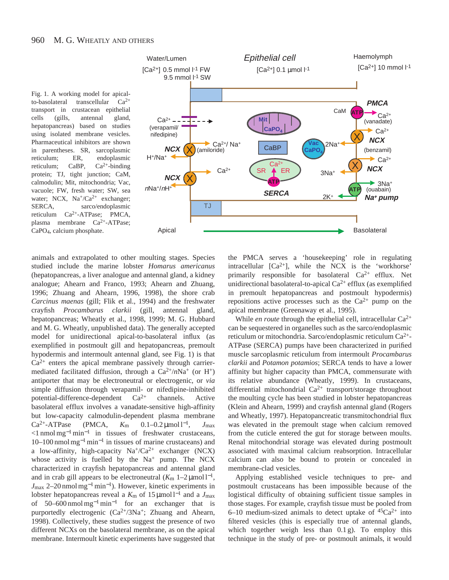



animals and extrapolated to other moulting stages. Species studied include the marine lobster *Homarus americanus* (hepatopancreas, a liver analogue and antennal gland, a kidney analogue; Ahearn and Franco, 1993; Ahearn and Zhuang, 1996; Zhuang and Ahearn, 1996, 1998), the shore crab *Carcinus maenas* (gill; Flik et al., 1994) and the freshwater crayfish *Procambarus clarkii* (gill, antennal gland, hepatopancreas; Wheatly et al., 1998, 1999; M. G. Hubbard and M. G. Wheatly, unpublished data). The generally accepted model for unidirectional apical-to-basolateral influx (as exemplified in postmoult gill and hepatopancreas, premoult hypodermis and intermoult antennal gland, see Fig. 1) is that  $Ca<sup>2+</sup>$  enters the apical membrane passively through carriermediated facilitated diffusion, through a  $Ca^{2+}/nNa^{+}$  (or H<sup>+</sup>) antiporter that may be electroneutral or electrogenic, or *via* simple diffusion through verapamil- or nifedipine-inhibited potential-difference-dependent  $Ca^{2+}$  channels. Active basolateral efflux involves a vanadate-sensitive high-affinity but low-capacity calmodulin-dependent plasma membrane  $Ca^{2+}-ATPase$  (PMCA,  $K_m$  0.1–0.2 µmol 1<sup>-1</sup>,  $J_{max}$ <1 nmol mg<sup>−</sup>1min−<sup>1</sup> in tissues of freshwater crustaceans, 10–100 nmol mg<sup>−</sup>1min−<sup>1</sup> in tissues of marine crustaceans) and a low-affinity, high-capacity  $Na^{+}/Ca^{2+}$  exchanger (NCX) whose activity is fuelled by the  $Na^+$  pump. The NCX characterized in crayfish hepatopancreas and antennal gland and in crab gill appears to be electroneutral  $(K<sub>m</sub> 1–2 \mu mol l<sup>-1</sup>$ , *J*<sub>max</sub> 2–20 nmol mg<sup>-1</sup> min<sup>-1</sup>). However, kinetic experiments in lobster hepatopancreas reveal a *K*<sup>m</sup> of 15 µmol l−<sup>1</sup> and a *J*max of 50–600 nmol mg<sup>-1</sup> min<sup>-1</sup> for an exchanger that is purportedly electrogenic  $(Ca^{2+/3}Na^{+})$ ; Zhuang and Ahearn, 1998). Collectively, these studies suggest the presence of two different NCXs on the basolateral membrane, as on the apical membrane. Intermoult kinetic experiments have suggested that

the PMCA serves a 'housekeeping' role in regulating intracellular  $[Ca^{2+}]$ , while the NCX is the 'workhorse' primarily responsible for basolateral  $Ca^{2+}$  efflux. Net unidirectional basolateral-to-apical  $Ca^{2+}$  efflux (as exemplified in premoult hepatopancreas and postmoult hypodermis) repositions active processes such as the  $Ca^{2+}$  pump on the apical membrane (Greenaway et al., 1995).

While *en route* through the epithelial cell, intracellular  $Ca^{2+}$ can be sequestered in organelles such as the sarco/endoplasmic reticulum or mitochondria. Sarco/endoplasmic reticulum Ca2+- ATPase (SERCA) pumps have been characterized in purified muscle sarcoplasmic reticulum from intermoult *Procambarus clarkii* and *Potamon potamios*; SERCA tends to have a lower affinity but higher capacity than PMCA, commensurate with its relative abundance (Wheatly, 1999). In crustaceans, differential mitochondrial  $Ca^{2+}$  transport/storage throughout the moulting cycle has been studied in lobster hepatopancreas (Klein and Ahearn, 1999) and crayfish antennal gland (Rogers and Wheatly, 1997). Hepatopancreatic transmitochondrial flux was elevated in the premoult stage when calcium removed from the cuticle entered the gut for storage between moults. Renal mitochondrial storage was elevated during postmoult associated with maximal calcium reabsorption. Intracellular calcium can also be bound to protein or concealed in membrane-clad vesicles.

Applying established vesicle techniques to pre- and postmoult crustaceans has been impossible because of the logistical difficulty of obtaining sufficient tissue samples in those stages. For example, crayfish tissue must be pooled from 6–10 medium-sized animals to detect uptake of  ${}^{45}Ca^{2+}$  into filtered vesicles (this is especially true of antennal glands, which together weigh less than 0.1 g). To employ this technique in the study of pre- or postmoult animals, it would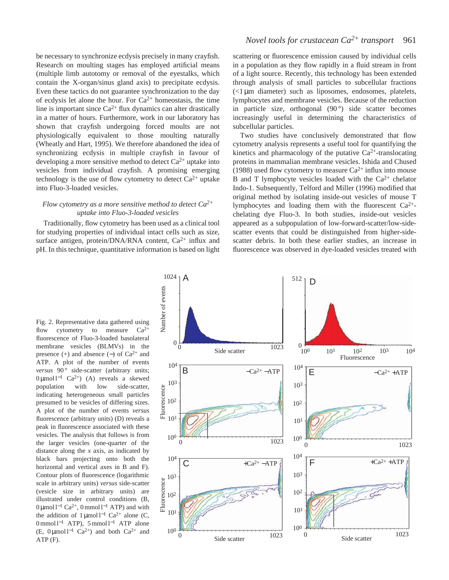be necessary to synchronize ecdysis precisely in many crayfish. Research on moulting stages has employed artificial means (multiple limb autotomy or removal of the eyestalks, which contain the X-organ/sinus gland axis) to precipitate ecdysis. Even these tactics do not guarantee synchronization to the day of ecdysis let alone the hour. For  $Ca^{2+}$  homeostasis, the time line is important since  $Ca^{2+}$  flux dynamics can alter drastically in a matter of hours. Furthermore, work in our laboratory has shown that crayfish undergoing forced moults are not physiologically equivalent to those moulting naturally (Wheatly and Hart, 1995). We therefore abandoned the idea of synchronizing ecdysis in multiple crayfish in favour of developing a more sensitive method to detect  $Ca^{2+}$  uptake into vesicles from individual crayfish. A promising emerging technology is the use of flow cytometry to detect  $Ca^{2+}$  uptake into Fluo-3-loaded vesicles.

# *Flow cytometry as a more sensitive method to detect Ca2+ uptake into Fluo-3-loaded vesicles*

Traditionally, flow cytometry has been used as a clinical tool for studying properties of individual intact cells such as size, surface antigen, protein/DNA/RNA content, Ca<sup>2+</sup> influx and pH. In this technique, quantitative information is based on light

scattering or fluorescence emission caused by individual cells in a population as they flow rapidly in a fluid stream in front of a light source. Recently, this technology has been extended through analysis of small particles to subcellular fractions  $\ll 1 \mu m$  diameter) such as liposomes, endosomes, platelets, lymphocytes and membrane vesicles. Because of the reduction in particle size, orthogonal (90°) side scatter becomes increasingly useful in determining the characteristics of subcellular particles.

Two studies have conclusively demonstrated that flow cytometry analysis represents a useful tool for quantifying the kinetics and pharmacology of the putative  $Ca^{2+}$ -translocating proteins in mammalian membrane vesicles. Ishida and Chused (1988) used flow cytometry to measure  $Ca^{2+}$  influx into mouse B and T lymphocyte vesicles loaded with the  $Ca^{2+}$  chelator Indo-1. Subsequently, Telford and Miller (1996) modified that original method by isolating inside-out vesicles of mouse T lymphocytes and loading them with the fluorescent Ca2+ chelating dye Fluo-3. In both studies, inside-out vesicles appeared as a subpopulation of low-forward-scatter/low-sidescatter events that could be distinguished from higher-sidescatter debris. In both these earlier studies, an increase in fluorescence was observed in dye-loaded vesicles treated with

Fig. 2. Representative data gathered using flow cytometry to measure  $Ca^{2+}$ fluorescence of Fluo-3-loaded basolateral membrane vesicles (BLMVs) in the presence (+) and absence (-) of  $Ca^{2+}$  and ATP. A plot of the number of events *versus* 90° side-scatter (arbitrary units; 0 µmol l−<sup>1</sup> Ca2+) (A) reveals a skewed population with low side-scatter, indicating heterogeneous small particles presumed to be vesicles of differing sizes. A plot of the number of events *versus* fluorescence (arbitrary units) (D) reveals a peak in fluorescence associated with these vesicles. The analysis that follows is from the larger vesicles (one-quarter of the distance along the *x* axis, as indicated by black bars projecting onto both the horizontal and vertical axes in B and F). Contour plots of fluorescence (logarithmic scale in arbitrary units) *versus* side-scatter (vesicle size in arbitrary units) are illustrated under control conditions (B, 0 µmol l−<sup>1</sup> Ca2+, 0 mmol l−<sup>1</sup> ATP) and with the addition of  $1 \mu$ mol l<sup>-1</sup> Ca<sup>2+</sup> alone (C, 0 mmol l−<sup>1</sup> ATP), 5 mmol l−<sup>1</sup> ATP alone (E, 0 μmol l<sup>-1</sup> Ca<sup>2+</sup>) and both Ca<sup>2+</sup> and ATP (F).

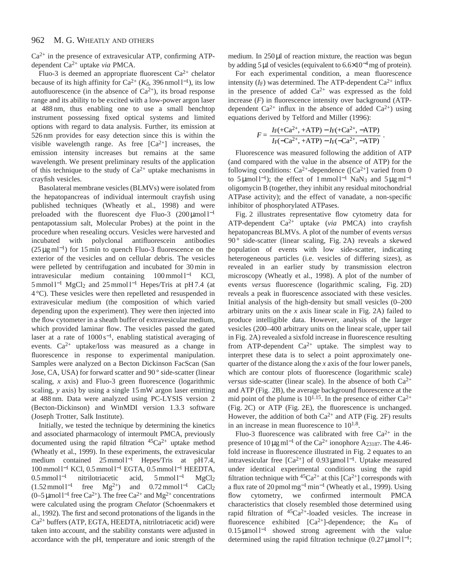#### 962 M. G. WHEATLY AND OTHERS

 $Ca<sup>2+</sup>$  in the presence of extravesicular ATP, confirming ATPdependent Ca2+ uptake *via* PMCA.

Fluo-3 is deemed an appropriate fluorescent  $Ca^{2+}$  chelator because of its high affinity for Ca<sup>2+</sup> ( $K_d$ , 396 nmol l<sup>-1</sup>), its low autofluorescence (in the absence of  $Ca^{2+}$ ), its broad response range and its ability to be excited with a low-power argon laser at 488 nm, thus enabling one to use a small benchtop instrument possessing fixed optical systems and limited options with regard to data analysis. Further, its emission at 526 nm provides for easy detection since this is within the visible wavelength range. As free  $[Ca^{2+}]$  increases, the emission intensity increases but remains at the same wavelength. We present preliminary results of the application of this technique to the study of  $Ca^{2+}$  uptake mechanisms in crayfish vesicles.

Basolateral membrane vesicles (BLMVs) were isolated from the hepatopancreas of individual intermoult crayfish using published techniques (Wheatly et al., 1998) and were preloaded with the fluorescent dye Fluo-3  $(200 \mu mol l^{-1})$ pentapotassium salt, Molecular Probes) at the point in the procedure when resealing occurs. Vesicles were harvested and incubated with polyclonal antifluorescein antibodies  $(25 \,\mu g \,\text{ml}^{-1})$  for 15 min to quench Fluo-3 fluorescence on the exterior of the vesicles and on cellular debris. The vesicles were pelleted by centrifugation and incubated for 30 min in intravesicular medium containing 100 mmol l−<sup>1</sup> KCl, 5 mmol l−<sup>1</sup> MgCl2 and 25 mmol l−<sup>1</sup> Hepes/Tris at pH 7.4 (at 4 °C). These vesicles were then repelleted and resuspended in extravesicular medium (the composition of which varied depending upon the experiment). They were then injected into the flow cytometer in a sheath buffer of extravesicular medium, which provided laminar flow. The vesicles passed the gated laser at a rate of 1000 s<sup>−</sup>1, enabling statistical averaging of events.  $Ca^{2+}$  uptake/loss was measured as a change in fluorescence in response to experimental manipulation. Samples were analyzed on a Becton Dickinson FacScan (San Jose, CA, USA) for forward scatter and 90 ° side-scatter (linear scaling, *x* axis) and Fluo-3 green fluorescence (logarithmic scaling, *y* axis) by using a single 15 mW argon laser emitting at 488 nm. Data were analyzed using PC-LYSIS version 2 (Becton-Dickinson) and WinMDI version 1.3.3 software (Joseph Trotter, Salk Institute).

Initially, we tested the technique by determining the kinetics and associated pharmacology of intermoult PMCA, previously documented using the rapid filtration  $45Ca^{2+}$  uptake method (Wheatly et al., 1999). In these experiments, the extravesicular medium contained 25 mmol l<sup>-1</sup> Hepes/Tris at pH 7.4, 100 mmol l−<sup>1</sup> KCl, 0.5 mmol l−<sup>1</sup> EGTA, 0.5 mmol l−<sup>1</sup> HEEDTA, 0.5 mmol l−<sup>1</sup> nitrilotriacetic acid, 5 mmol l−<sup>1</sup> MgCl2  $(1.52 \text{ mmol } l^{-1}$  free Mg<sup>2+</sup>) and 0.72 mmol l<sup>−1</sup> CaCl<sub>2</sub> (0–5µmol l−<sup>1</sup> free Ca2+). The free Ca2+ and Mg2+ concentrations were calculated using the program *Chelator* (Schoenmakers et al., 1992). The first and second protonations of the ligands in the  $Ca<sup>2+</sup>$  buffers (ATP, EGTA, HEEDTA, nitrilotriacetic acid) were taken into account, and the stability constants were adjusted in accordance with the pH, temperature and ionic strength of the

medium. In  $250 \mu l$  of reaction mixture, the reaction was begun by adding 5µl of vesicles (equivalent to 6.6×10<sup>−</sup>4mg of protein).

For each experimental condition, a mean fluorescence intensity  $(I_F)$  was determined. The ATP-dependent  $Ca^{2+}$  influx in the presence of added  $Ca^{2+}$  was expressed as the fold increase  $(F)$  in fluorescence intensity over background  $(ATP$ dependent  $Ca^{2+}$  influx in the absence of added  $Ca^{2+}$ ) using equations derived by Telford and Miller (1996):

$$
F = \frac{I_F(+Ca^{2+}, +ATP) - I_F(+Ca^{2+}, -ATP)}{I_F(-Ca^{2+}, +ATP) - I_F(-Ca^{2+}, -ATP)}.
$$

Fluorescence was measured following the addition of ATP (and compared with the value in the absence of ATP) for the following conditions:  $Ca^{2+}$ -dependence ([Ca<sup>2+</sup>] varied from 0 to 5 µmol l<sup>-1</sup>); the effect of 1 mmol l<sup>-1</sup> NaN<sub>3</sub> and 5 µg ml<sup>-1</sup> oligomycin B (together, they inhibit any residual mitochondrial ATPase activity); and the effect of vanadate, a non-specific inhibitor of phosphorylated ATPases.

Fig. 2 illustrates representative flow cytometry data for ATP-dependent Ca2+ uptake (*via* PMCA) into crayfish hepatopancreas BLMVs. A plot of the number of events *versus* 90 ° side-scatter (linear scaling, Fig. 2A) reveals a skewed population of events with low side-scatter, indicating heterogeneous particles (i.e. vesicles of differing sizes), as revealed in an earlier study by transmission electron microscopy (Wheatly et al., 1998). A plot of the number of events *versus* fluorescence (logarithmic scaling, Fig. 2D) reveals a peak in fluorescence associated with these vesicles. Initial analysis of the high-density but small vesicles (0–200 arbitrary units on the *x* axis linear scale in Fig. 2A) failed to produce intelligible data. However, analysis of the larger vesicles (200–400 arbitrary units on the linear scale, upper tail in Fig. 2A) revealed a sixfold increase in fluorescence resulting from ATP-dependent  $Ca^{2+}$  uptake. The simplest way to interpret these data is to select a point approximately onequarter of the distance along the *x* axis of the four lower panels, which are contour plots of fluorescence (logarithmic scale) *versus* side-scatter (linear scale). In the absence of both  $Ca^{2+}$ and ATP (Fig. 2B), the average background fluorescence at the mid point of the plume is  $10^{1.15}$ . In the presence of either  $Ca^{2+}$ (Fig. 2C) or ATP (Fig. 2E), the fluorescence is unchanged. However, the addition of both  $Ca^{2+}$  and ATP (Fig. 2F) results in an increase in mean fluorescence to  $10^{1.8}$ .

Fluo-3 fluorescence was calibrated with free  $Ca^{2+}$  in the presence of  $10 \mu g$  ml<sup>-1</sup> of the Ca<sup>2+</sup> ionophore A<sub>23187</sub>. The 4.46fold increase in fluorescence illustrated in Fig. 2 equates to an intravesicular free [Ca<sup>2+</sup>] of 0.93  $\mu$ mol l<sup>-1</sup>. Uptake measured under identical experimental conditions using the rapid filtration technique with  ${}^{45}Ca^{2+}$  at this  $[Ca^{2+}]$  corresponds with a flux rate of 20 pmol mg<sup>−</sup>1min−<sup>1</sup> (Wheatly et al., 1999). Using flow cytometry, we confirmed intermoult PMCA characteristics that closely resembled those determined using rapid filtration of 45Ca2+-loaded vesicles. The increase in fluorescence exhibited [Ca2+]-dependence; the *K*<sup>m</sup> of 0.15 µmol l−<sup>1</sup> showed strong agreement with the value determined using the rapid filtration technique  $(0.27 \,\text{\mu mol} \, \text{m}^{-1})$ ;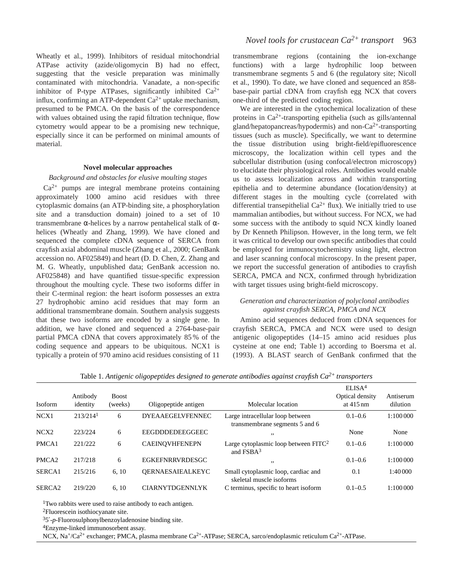Wheatly et al., 1999). Inhibitors of residual mitochondrial ATPase activity (azide/oligomycin B) had no effect, suggesting that the vesicle preparation was minimally contaminated with mitochondria. Vanadate, a non-specific inhibitor of P-type ATPases, significantly inhibited  $Ca^{2+}$ influx, confirming an ATP-dependent  $Ca^{2+}$  uptake mechanism, presumed to be PMCA. On the basis of the correspondence with values obtained using the rapid filtration technique, flow cytometry would appear to be a promising new technique, especially since it can be performed on minimal amounts of material.

### **Novel molecular approaches**

## *Background and obstacles for elusive moulting stages*

 $Ca<sup>2+</sup>$  pumps are integral membrane proteins containing approximately 1000 amino acid residues with three cytoplasmic domains (an ATP-binding site, a phosphorylation site and a transduction domain) joined to a set of 10 transmembrane α-helices by a narrow pentahelical stalk of αhelices (Wheatly and Zhang, 1999). We have cloned and sequenced the complete cDNA sequence of SERCA from crayfish axial abdominal muscle (Zhang et al., 2000; GenBank accession no. AF025849) and heart (D. D. Chen, Z. Zhang and M. G. Wheatly, unpublished data; GenBank accession no. AF025848) and have quantified tissue-specific expression throughout the moulting cycle. These two isoforms differ in their C-terminal region: the heart isoform possesses an extra 27 hydrophobic amino acid residues that may form an additional transmembrane domain. Southern analysis suggests that these two isoforms are encoded by a single gene. In addition, we have cloned and sequenced a 2764-base-pair partial PMCA cDNA that covers approximately 85 % of the coding sequence and appears to be ubiquitous. NCX1 is typically a protein of 970 amino acid residues consisting of 11

transmembrane regions (containing the ion-exchange functions) with a large hydrophilic loop between transmembrane segments 5 and 6 (the regulatory site; Nicoll et al., 1990). To date, we have cloned and sequenced an 858 base-pair partial cDNA from crayfish egg NCX that covers one-third of the predicted coding region.

We are interested in the cytochemical localization of these proteins in  $Ca^{2+}$ -transporting epithelia (such as gills/antennal gland/hepatopancreas/hypodermis) and non- $Ca^{2+}$ -transporting tissues (such as muscle). Specifically, we want to determine the tissue distribution using bright-field/epifluorescence microscopy, the localization within cell types and the subcellular distribution (using confocal/electron microscopy) to elucidate their physiological roles. Antibodies would enable us to assess localization across and within transporting epithelia and to determine abundance (location/density) at different stages in the moulting cycle (correlated with differential transepithelial  $Ca^{2+}$  flux). We initially tried to use mammalian antibodies, but without success. For NCX, we had some success with the antibody to squid NCX kindly loaned by Dr Kenneth Philipson. However, in the long term, we felt it was critical to develop our own specific antibodies that could be employed for immunocytochemistry using light, electron and laser scanning confocal microscopy. In the present paper, we report the successful generation of antibodies to crayfish SERCA, PMCA and NCX, confirmed through hybridization with target tissues using bright-field microscopy.

# *Generation and characterization of polyclonal antibodies against crayfish SERCA, PMCA and NCX*

Amino acid sequences deduced from cDNA sequences for crayfish SERCA, PMCA and NCX were used to design antigenic oligopeptides (14–15 amino acid residues plus cysteine at one end; Table 1) according to Boersma et al. (1993). A BLAST search of GenBank confirmed that the

| <b>Isoform</b>     | Antibody<br>identity   | <b>Boost</b><br>(weeks) | Oligopeptide antigen    | Molecular location                                                 | ELISA <sup>4</sup><br>Optical density<br>at $415 \text{ nm}$ | Antiserum<br>dilution |
|--------------------|------------------------|-------------------------|-------------------------|--------------------------------------------------------------------|--------------------------------------------------------------|-----------------------|
| NCX1               | $213/214$ <sup>1</sup> | 6                       | <b>DYEAAEGELVFENNEC</b> | Large intracellular loop between<br>transmembrane segments 5 and 6 | $0.1 - 0.6$                                                  | 1:100000              |
| NCX <sub>2</sub>   | 223/224                | 6                       | EEGDDDEDEEGGEEC         | , ,                                                                | None                                                         | None                  |
| PMCA1              | 221/222                | 6                       | <b>CAEINOVHFENEPN</b>   | Large cytoplasmic loop between $FITC2$<br>and FSBA <sup>3</sup>    | $0.1 - 0.6$                                                  | 1:100000              |
| PMCA <sub>2</sub>  | 217/218                | 6                       | <b>EGKEFNRRVRDESGC</b>  | , ,                                                                | $0.1 - 0.6$                                                  | 1:100000              |
| SERCA <sub>1</sub> | 215/216                | 6, 10                   | <b>OERNAESAIEALKEYC</b> | Small cytoplasmic loop, cardiac and<br>skeletal muscle isoforms    | 0.1                                                          | 1:40000               |
| SERCA <sub>2</sub> | 219/220                | 6, 10                   | <b>CIARNYTDGENNLYK</b>  | C terminus, specific to heart isoform                              | $0.1 - 0.5$                                                  | 1:100 000             |

Table 1. *Antigenic oligopeptides designed to generate antibodies against crayfish Ca2+ transporters*

<sup>1</sup>Two rabbits were used to raise antibody to each antigen.

2Fluorescein isothiocyanate site.

35′-*p*-Fluorosulphonylbenzoyladenosine binding site.

4Enzyme-linked immunosorbent assay.

NCX, Na+/Ca2+ exchanger; PMCA, plasma membrane Ca2+-ATPase; SERCA, sarco/endoplasmic reticulum Ca2+-ATPase.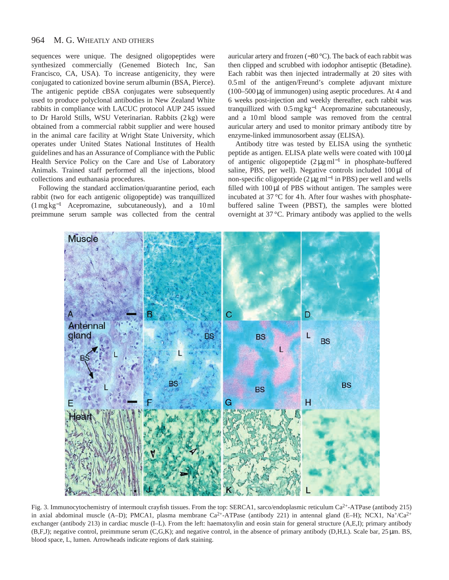#### 964 M. G. WHEATLY AND OTHERS

sequences were unique. The designed oligopeptides were synthesized commercially (Genemed Biotech Inc, San Francisco, CA, USA). To increase antigenicity, they were conjugated to cationized bovine serum albumin (BSA, Pierce). The antigenic peptide cBSA conjugates were subsequently used to produce polyclonal antibodies in New Zealand White rabbits in compliance with LACUC protocol AUP 245 issued to Dr Harold Stills, WSU Veterinarian. Rabbits (2 kg) were obtained from a commercial rabbit supplier and were housed in the animal care facility at Wright State University, which operates under United States National Institutes of Health guidelines and has an Assurance of Compliance with the Public Health Service Policy on the Care and Use of Laboratory Animals. Trained staff performed all the injections, blood collections and euthanasia procedures.

Following the standard acclimation/quarantine period, each rabbit (two for each antigenic oligopeptide) was tranquillized (1 mg kg−<sup>1</sup> Acepromazine, subcutaneously), and a 10 ml preimmune serum sample was collected from the central

auricular artery and frozen (−80 °C). The back of each rabbit was then clipped and scrubbed with iodophor antiseptic (Betadine). Each rabbit was then injected intradermally at 20 sites with 0.5 ml of the antigen/Freund's complete adjuvant mixture  $(100-500 \,\mu$ g of immunogen) using aseptic procedures. At 4 and 6 weeks post-injection and weekly thereafter, each rabbit was tranquillized with 0.5 mg kg−<sup>1</sup> Acepromazine subcutaneously, and a 10 ml blood sample was removed from the central auricular artery and used to monitor primary antibody titre by enzyme-linked immunosorbent assay (ELISA).

Antibody titre was tested by ELISA using the synthetic peptide as antigen. ELISA plate wells were coated with 100 µl of antigenic oligopeptide  $(2 \mu g \text{ ml}^{-1})$  in phosphate-buffered saline, PBS, per well). Negative controls included 100 µl of non-specific oligopeptide ( $2 \mu g$  ml<sup>-1</sup> in PBS) per well and wells filled with  $100 \mu l$  of PBS without antigen. The samples were incubated at 37 °C for 4 h. After four washes with phosphatebuffered saline Tween (PBST), the samples were blotted overnight at 37 °C. Primary antibody was applied to the wells



Fig. 3. Immunocytochemistry of intermoult crayfish tissues. From the top: SERCA1, sarco/endoplasmic reticulum Ca<sup>2+</sup>-ATPase (antibody 215) in axial abdominal muscle (A–D); PMCA1, plasma membrane  $Ca^{2+}$ -ATPase (antibody 221) in antennal gland (E–H); NCX1, Na<sup>+</sup>/Ca<sup>2+</sup> exchanger (antibody 213) in cardiac muscle (I–L). From the left: haematoxylin and eosin stain for general structure (A,E,I); primary antibody (B,F,J); negative control, preimmune serum (C,G,K); and negative control, in the absence of primary antibody (D,H,L). Scale bar, 25 µm. BS, blood space, L, lumen. Arrowheads indicate regions of dark staining.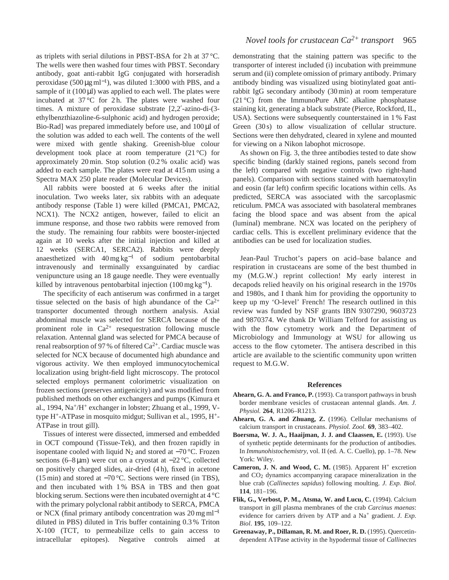as triplets with serial dilutions in PBST-BSA for 2 h at 37 °C. The wells were then washed four times with PBST. Secondary antibody, goat anti-rabbit IgG conjugated with horseradish peroxidase (500  $\mu$ g ml<sup>-1</sup>), was diluted 1:3000 with PBS, and a sample of it  $(100 \,\mu$ l) was applied to each well. The plates were incubated at  $37^{\circ}$ C for 2h. The plates were washed four times. A mixture of peroxidase substrate [2,2′-azino-di-(3 ethylbenzthiazoline-6-sulphonic acid) and hydrogen peroxide; Bio-Rad] was prepared immediately before use, and 100 µl of the solution was added to each well. The contents of the well were mixed with gentle shaking. Greenish-blue colour development took place at room temperature (21 °C) for approximately 20 min. Stop solution (0.2 % oxalic acid) was added to each sample. The plates were read at 415 nm using a Spectra MAX 250 plate reader (Molecular Devices).

All rabbits were boosted at 6 weeks after the initial inoculation. Two weeks later, six rabbits with an adequate antibody response (Table 1) were killed (PMCA1, PMCA2, NCX1). The NCX2 antigen, however, failed to elicit an immune response, and those two rabbits were removed from the study. The remaining four rabbits were booster-injected again at 10 weeks after the initial injection and killed at 12 weeks (SERCA1, SERCA2). Rabbits were deeply anaesthetized with  $40 \,\text{mg}\,\text{kg}^{-1}$  of sodium pentobarbital intravenously and terminally exsanguinated by cardiac venipuncture using an 18 gauge needle. They were eventually killed by intravenous pentobarbital injection  $(100 \text{ mg kg}^{-1})$ .

The specificity of each antiserum was confirmed in a target tissue selected on the basis of high abundance of the  $Ca^{2+}$ transporter documented through northern analysis. Axial abdominal muscle was selected for SERCA because of the prominent role in  $Ca^{2+}$  resequestration following muscle relaxation. Antennal gland was selected for PMCA because of renal reabsorption of 97 % of filtered  $Ca^{2+}$ . Cardiac muscle was selected for NCX because of documented high abundance and vigorous activity. We then employed immunocytochemical localization using bright-field light microscopy. The protocol selected employs permanent colorimetric visualization on frozen sections (preserves antigenicity) and was modified from published methods on other exchangers and pumps (Kimura et al., 1994, Na+/H+ exchanger in lobster; Zhuang et al., 1999, Vtype H+-ATPase in mosquito midgut; Sullivan et al., 1995, H+- ATPase in trout gill).

Tissues of interest were dissected, immersed and embedded in OCT compound (Tissue-Tek), and then frozen rapidly in isopentane cooled with liquid  $N_2$  and stored at  $-70$  °C. Frozen sections (6–8 μm) were cut on a cryostat at −22 °C, collected on positively charged slides, air-dried (4 h), fixed in acetone (15 min) and stored at −70 °C. Sections were rinsed (in TBS), and then incubated with 1 % BSA in TBS and then goat blocking serum. Sections were then incubated overnight at 4 °C with the primary polyclonal rabbit antibody to SERCA, PMCA or NCX (final primary antibody concentration was 20 mg ml−<sup>1</sup> diluted in PBS) diluted in Tris buffer containing 0.3 % Triton X-100 (TCT, to permeabilize cells to gain access to intracellular epitopes). Negative controls aimed at demonstrating that the staining pattern was specific to the transporter of interest included (i) incubation with preimmune serum and (ii) complete omission of primary antibody. Primary antibody binding was visualized using biotinylated goat antirabbit IgG secondary antibody (30 min) at room temperature (21 °C) from the ImmunoPure ABC alkaline phosphatase staining kit, generating a black substrate (Pierce, Rockford, IL, USA). Sections were subsequently counterstained in 1 % Fast Green (30 s) to allow visualization of cellular structure. Sections were then dehydrated, cleared in xylene and mounted for viewing on a Nikon labophot microsope.

As shown on Fig. 3, the three antibodies tested to date show specific binding (darkly stained regions, panels second from the left) compared with negative controls (two right-hand panels). Comparison with sections stained with haematoxylin and eosin (far left) confirm specific locations within cells. As predicted, SERCA was associated with the sarcoplasmic reticulum. PMCA was associated with basolateral membranes facing the blood space and was absent from the apical (luminal) membrane. NCX was located on the periphery of cardiac cells. This is excellent preliminary evidence that the antibodies can be used for localization studies.

Jean-Paul Truchot's papers on acid–base balance and respiration in crustaceans are some of the best thumbed in my (M.G.W.) reprint collection! My early interest in decapods relied heavily on his original research in the 1970s and 1980s, and I thank him for providing the opportunity to keep up my 'O-level' French! The research outlined in this review was funded by NSF grants IBN 9307290, 9603723 and 9870374. We thank Dr William Telford for assisting us with the flow cytometry work and the Department of Microbiology and Immunology at WSU for allowing us access to the flow cytometer. The antisera described in this article are available to the scientific community upon written request to M.G.W.

### **References**

- **Ahearn, G. A. and Franco, P.** (1993). Ca transport pathways in brush border membrane vesicles of crustacean antennal glands. *Am. J. Physiol.* **264**, R1206–R1213.
- **Ahearn, G. A. and Zhuang, Z.** (1996). Cellular mechanisms of calcium transport in crustaceans. *Physiol. Zool.* **69**, 383–402.
- **Boersma, W. J. A., Haaijman, J. J. and Claassen, E.** (1993). Use of synthetic peptide determinants for the production of antibodies. In *Immunohistochemistry*, vol. II (ed. A. C. Cuello), pp. 1–78. New York: Wiley.
- **Cameron, J. N. and Wood, C. M.** (1985). Apparent H<sup>+</sup> excretion and CO2 dynamics accompanying carapace mineralization in the blue crab (*Callinectes sapidus*) following moulting. *J. Exp. Biol.* **114**, 181–196.
- **Flik, G., Verbost, P. M., Atsma, W. and Lucu, C.** (1994). Calcium transport in gill plasma membranes of the crab *Carcinus maenas*: evidence for carriers driven by ATP and a Na<sup>+</sup> gradient. *J. Exp. Biol*. **195**, 109–122.
- **Greenaway, P., Dillaman, R. M. and Roer, R. D.** (1995). Quercetindependent ATPase activity in the hypodermal tissue of *Callinectes*